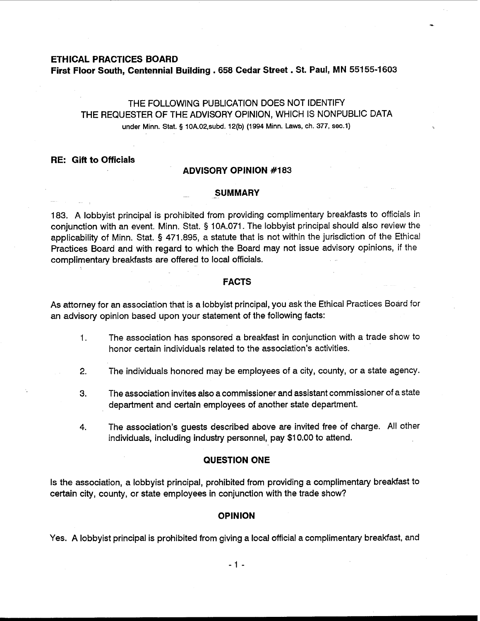### **ETHICAL PRACTICES BOARD**

## **First Floor South, Centennial Building** . **658 Cedar Street** . **St. Paul, MN 551 55-1 <sup>603</sup>**

# THE FOLLOWING PUBLICATION DOES NOT IDENTIFY THE REQUESTER OF THE ADVISORY OPINION, WHICH IS NONPUBLIC DATA under Minn. Stat. **5** 10A.02,subd. 12(b) (1994 Minn. Laws, **ch.** 377, sec.1)

## **RE: Gift to Officials**

## **ADVISORY OPINION #I 83**

#### **SUMMARY**

183. A lobbyist principal is prohibited from providing complimentary breakfasts to officials in conjunction with an event. Minn. Stat. **9** 10A.071. The lobbyist principal should also review the applicability of Minn. Stat. **5** 471.895, a statute that is not within the jurisdiction of the Ethical Practices Board and with regard to which the Board may not issue advisory opinions, if the complimentary breakfasts are offered to local officials. -

## **FACTS**

As attorney for an association that is a lobbyist principal, you ask the Ethical Practices Board for an advisory opinion based upon your statement of the following facts:

- 1. The association has sponsored a breakfast in conjunction with a trade show to honor certain individuals related to the association's activities.
- **2.** The individuals honored may be employees of a city, county, or a state agency.
- **3.** The association invites also a commissioner and assistant commissioner of a state department and certain employees of another state department.
- 4. The association's guests described above are invited free of charge. All other individuals, including industry personnel, pay \$1 0.00 to attend.

### **QUESTION ONE**

Is the association, a lobbyist principal, prohibited from providing a complimentary breakfast to certain city, county, or state employees in conjunction with the trade show?

### **OPINION**

Yes. A lobbyist principal is prohibited from giving a local official a complimentary breakfast, and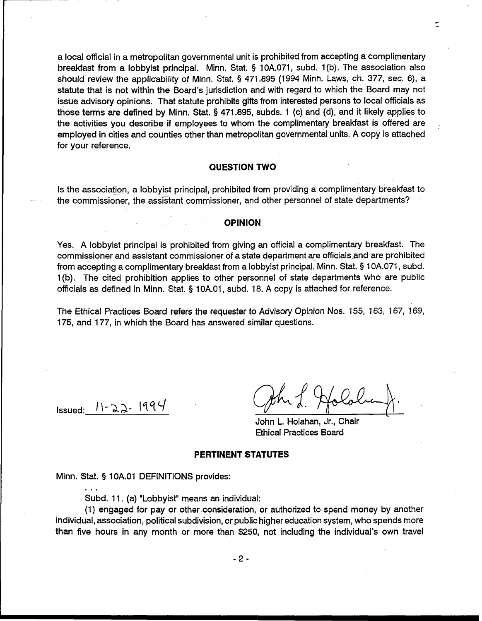a local official in a metropolitan governmental unit is prohibited from accepting a complimentary breakfast from a lobbyist principal. Minn. Stat. **9** 10A.071, subd. 1 (b). The association also should review the applicability of Minn. Stat. **9** 471.895 (1994 Minn. Laws, ch. 377, sec. 6), a statute that is not within the Board's jurisdiction and with regard to which the Board may not issue advisory opinions. That statute prohibits gifts from interested persons to local officials as those terms are defined by Minn. Stat. **5** 471.895, subds. 1 (c) and (d), and it likely applies to the activities you describe if employees to whom the complimentary breakfast is offered are employed in cities and counties other than metropolitan governmental units. A copy is attached for your reference.

## **QUESTION TWO**

Is the association, a lobbyist principal, prohibited from providing a complimentary breakfast to the commissioner, the assistant commissioner, and other personnel of state departments?

## **OPINION**

Yes. A lobbyist principal is prohibited from giving an official a complimentary breakfast. The commissioner and assistant commissioner of a state department are officials and are prohibited from accepting a complimentary breakfast from a lobbyist principal: Minn. Stat. § 1 OA.071, subd. 1 (b). The cited prohibition applies to other personnel of state departments who are public officials as defined in Minn. Stat. § 10A.01, subd. 18. A copy is attached for reference.

The Ethical Practices Board refers the requester to Advisory Opinion Nos. 155, 163, 167, 169, 175, and 177, in which the Board has answered similar questions.

 $I = 11 - 22 - 1994$ 

. . .

John L. Holahan, Jr., Chair Ethical Practices Board

#### **PERTINENT STATUTES**

Minn. Stat. § 1 OA.O1 DEFINITIONS provides:

Subd. 11. (a) "Lobbyist" means an individual:

(1) engaged for pay or other consideration, or authorized to spend money by another individual, association, political subdivision, or public higher education system, who spends more than five hours in any month or more than \$250, not including the individual's own travel

 $-2-$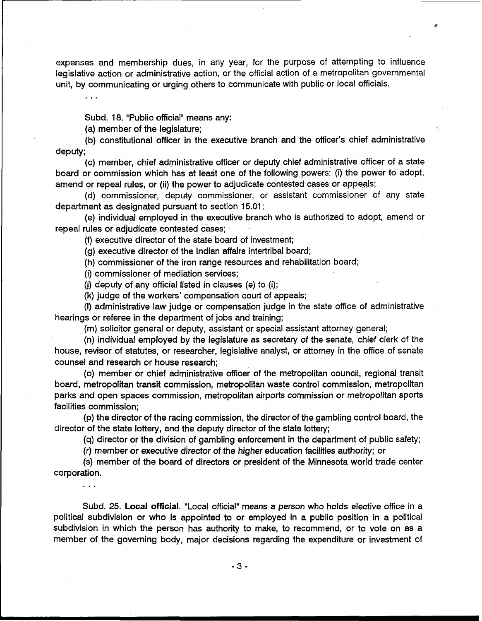expenses and membership dues, in any year, for the purpose of attempting to influence legislative action or administrative action, or the official action of a metropolitan governmental unit, by communicating or urging others to communicate with public or local officials.

÷

Subd. 18. "Public official" means any:

(a) member of the legislature;

(b) constitutional officer in the executive branch and the officer's chief administrative deputy;

(c) member, chief administrative officer or deputy chief administrative officer of a state board or commission which has at least one of the following powers: (i) the power to adopt, amend or repeal rules, or (ii) the power to adjudicate contested cases or appeals;

(d) commissioner, deputy commissioner, or assistant commissioner of any state department as designated pursuant to section 15.01 ;

(e) individual employed in the executive branch who is authorized to adopt, amend or repeal rules or adjudicate contested cases;

(9 executive director of the state board of investment;

(g) executive director of the Indian affairs intertribal board;

(h) commissioner of the iron range resources and rehabilitation board;

(i) commissioner of mediation services;

(i) deputy of any official listed in clauses (e) to (i);

(k) judge of the workers' compensation court of appeals;

(I) administrative law judge or compensation judge in the state office of administrative hearings or referee in the department of jobs and training;

(m) solicitor general or deputy, assistant or special assistant attorney general;

(n) individual employed by the legislature as secretary of the senate, chief clerk of the house, revisor of statutes, or researcher, legislative analyst, or attorney in the office of senate counsel and research or house research:

(0) member or chief administrative officer of the metropolitan council, regional transit board, metropolitan transit commission, metropolitan waste control commission, metropolitan parks and open spaces commission, metropolitan airports commission or metropolitan sports facilities commission;

(p) the director of the racing commission, the director of the gambling control board, the director of the state lottery, and the deputy director of the state lottery;

(q) director or the division of gambling enforcement in the department of public safety;

(r) member or executive director of the higher education facilities authority; or

(s) member of the board of directors or president of the Minnesota world trade center corporation.

...

Subd. 25. **Local official.** "Local official" means a person who holds elective office in a political subdivision or who is appointed to or employed in a public position in a political subdivision in which the person has authority to make, to recommend, or to vote on as a member of the governing body, major decisions regarding the expenditure or investment of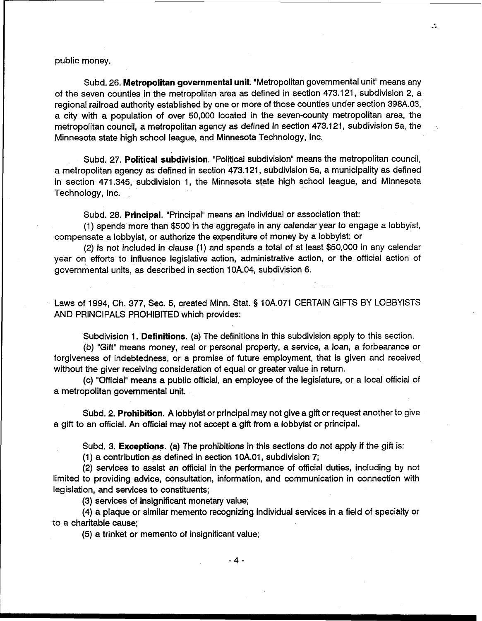Subd. 26. **Metropolitan governmental unit.** "Metropolitan governmental unit" means any of the seven counties in the metropolitan area as defined in section 473.121, subdivision 2, a regional railroad authority established by one or more of those counties under section 398A.03, a city with a population of over 50,000 located in the seven-county metropolitan area, the metropolitan council, a metropolitan agency as defined in section 473.121, subdivision 5a, the Minnesota state high school league, and Minnesota Technology, Inc.

Subd. 27. **Political subdivision.** "Political subdivision" means the metropolitan council, a metropolitan agency as defined in section 473.1 21, subdivision 5a, a municipality as defined in section 471.345, subdivision 1, the Minnesota state high school league, and Minnesota Technology,  $Inc.$ 

Subd. 28. **Principal.** "Principal" means an individual or association that:

(1) spends more than \$500 in the aggregate in any calendar year to engage a lobbyist, compensate a lobbyist, or authorize the expenditure of money by a lobbyist; or

(2) is not included in clause (1) and spends a total of at least \$50,000 in any calendar year on efforts to influence legislative action, administrative action, or the official action of governmental units, as described in section 10A.04, subdivision 6.

Laws of 1994, Ch. 377, Sec. 5, created Minn. Stat. **9** 10A.071 CERTAIN GIFTS BY LOBBYISTS AND PRINCIPALS PROHIBITED which provides:

Subdivision 1. **Definitions.** (a) The definitions in this subdivision apply to this section.

**(b)** "Gift" means money, real or personal property, a service, a loan, a forbearance or forgiveness of indebtedness, or a promise of future employment, that is given and received without the giver receiving consideration of equal or greater value in return.

(c) "Official" means a public official, an employee of the legislature, or a local official of a metropolitan governmental unit.

Subd. 2. **Prohibition.** A lobbyist or principal may not give a gift or request another to give a gift to an official. An official may not accept a gift from a lobbyist or principal.

Subd. 3. **Exceptions.** (a) The prohibitions in this sections do not apply if the gift is:

(1) a contribution as defined in section 1 0A.01, subdivision 7;

(2) services to assist an official in the performance of official duties, including by not limited to providing advice, consultation, information, and communication in connection with legislation, and services to constituents;

(3) services of insignificant monetary value;

(4) a plaque or similar memento recognizing individual services in a field of specialty or to a charitable cause;

(5) a trinket or memento of insignificant value;

 $\ddot{\cdot}$